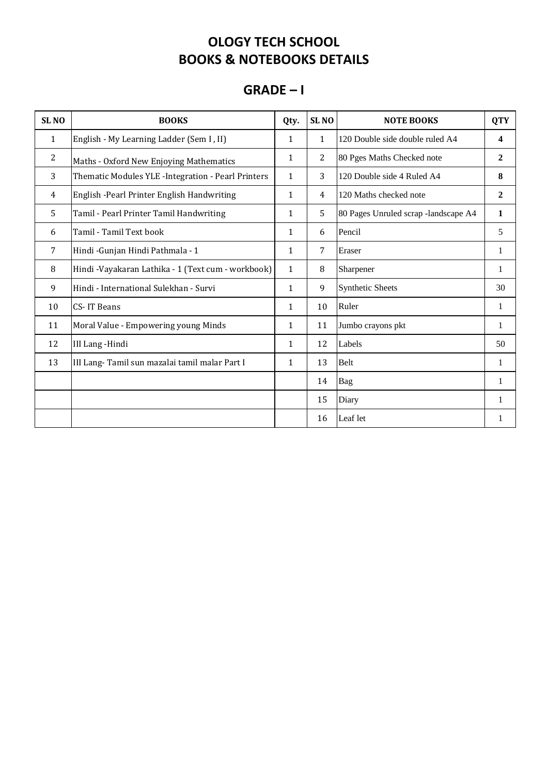#### **GRADE – I**

| <b>SLNO</b>  | <b>BOOKS</b>                                        | Qty.         | SL <sub>NO</sub> | <b>NOTE BOOKS</b>                    | <b>QTY</b>     |
|--------------|-----------------------------------------------------|--------------|------------------|--------------------------------------|----------------|
| $\mathbf{1}$ | English - My Learning Ladder (Sem I, II)            | 1            | $\mathbf{1}$     | 120 Double side double ruled A4      | 4              |
| 2            | Maths - Oxford New Enjoying Mathematics             | $\mathbf{1}$ | 2                | 80 Pges Maths Checked note           | $\overline{2}$ |
| 3            | Thematic Modules YLE - Integration - Pearl Printers | $\mathbf{1}$ | 3                | 120 Double side 4 Ruled A4           | 8              |
| 4            | English - Pearl Printer English Handwriting         | $\mathbf{1}$ | $\overline{4}$   | 120 Maths checked note               | $\overline{2}$ |
| 5            | Tamil - Pearl Printer Tamil Handwriting             | 1            | 5                | 80 Pages Unruled scrap -landscape A4 | 1              |
| 6            | Tamil - Tamil Text book                             | $\mathbf{1}$ | 6                | Pencil                               | 5              |
| 7            | Hindi - Gunjan Hindi Pathmala - 1                   | 1            | 7                | Eraser                               | 1              |
| 8            | Hindi -Vayakaran Lathika - 1 (Text cum - workbook)  | $\mathbf{1}$ | 8                | Sharpener                            | $\mathbf{1}$   |
| 9            | Hindi - International Sulekhan - Survi              | 1            | 9                | <b>Synthetic Sheets</b>              | 30             |
| 10           | <b>CS-IT Beans</b>                                  | 1            | 10               | Ruler                                | 1              |
| 11           | Moral Value - Empowering young Minds                | 1            | 11               | Jumbo crayons pkt                    | 1              |
| 12           | <b>III Lang-Hindi</b>                               | 1            | 12               | Labels                               | 50             |
| 13           | III Lang-Tamil sun mazalai tamil malar Part I       | 1            | 13               | Belt                                 | 1              |
|              |                                                     |              | 14               | Bag                                  | 1              |
|              |                                                     |              | 15               | Diary                                | 1              |
|              |                                                     |              | 16               | Leaf let                             |                |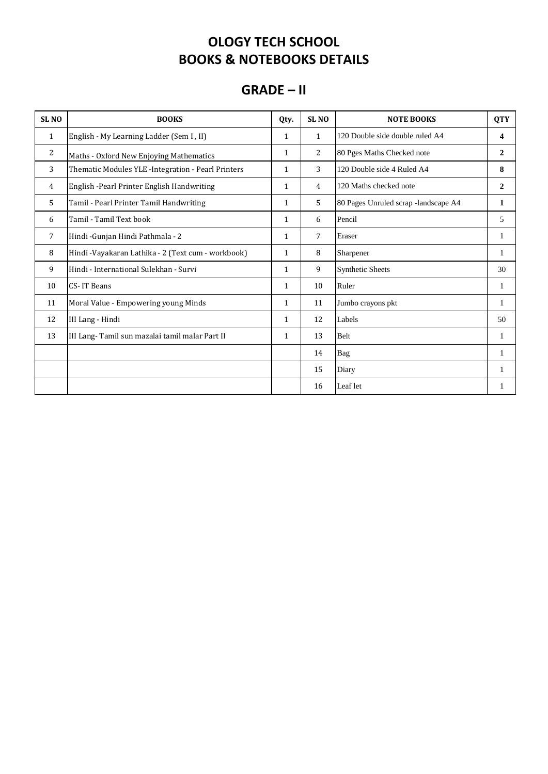#### **GRADE – II**

| SL <sub>NO</sub> | <b>BOOKS</b>                                       | Qty.         | SL <sub>NO</sub> | <b>NOTE BOOKS</b>                    | <b>QTY</b>     |
|------------------|----------------------------------------------------|--------------|------------------|--------------------------------------|----------------|
| $\mathbf{1}$     | English - My Learning Ladder (Sem I, II)           | $\mathbf{1}$ | $\mathbf{1}$     | 120 Double side double ruled A4      | 4              |
| 2                | Maths - Oxford New Enjoying Mathematics            | $\mathbf{1}$ | 2                | 80 Pges Maths Checked note           | $\overline{2}$ |
| 3                | Thematic Modules YLE -Integration - Pearl Printers | $\mathbf{1}$ | 3                | 120 Double side 4 Ruled A4           | 8              |
| 4                | English -Pearl Printer English Handwriting         | $\mathbf{1}$ | $\overline{4}$   | 120 Maths checked note               | $\overline{2}$ |
| 5                | Tamil - Pearl Printer Tamil Handwriting            | $\mathbf{1}$ | 5                | 80 Pages Unruled scrap -landscape A4 | 1              |
| 6                | Tamil - Tamil Text book                            | $\mathbf{1}$ | 6                | Pencil                               | 5              |
| 7                | Hindi - Gunjan Hindi Pathmala - 2                  | $\mathbf{1}$ | 7                | Eraser                               | 1              |
| 8                | Hindi -Vayakaran Lathika - 2 (Text cum - workbook) | $\mathbf{1}$ | 8                | Sharpener                            | 1              |
| 9                | Hindi - International Sulekhan - Survi             | $\mathbf{1}$ | 9                | <b>Synthetic Sheets</b>              | 30             |
| 10               | CS-IT Beans                                        | $\mathbf{1}$ | 10               | Ruler                                | 1              |
| 11               | Moral Value - Empowering young Minds               | $\mathbf{1}$ | 11               | Jumbo crayons pkt                    | 1              |
| 12               | III Lang - Hindi                                   | $\mathbf{1}$ | 12               | Labels                               | 50             |
| 13               | III Lang-Tamil sun mazalai tamil malar Part II     | $\mathbf{1}$ | 13               | Belt                                 | 1              |
|                  |                                                    |              | 14               | Bag                                  | 1              |
|                  |                                                    |              | 15               | Diary                                |                |
|                  |                                                    |              | 16               | Leaf let                             |                |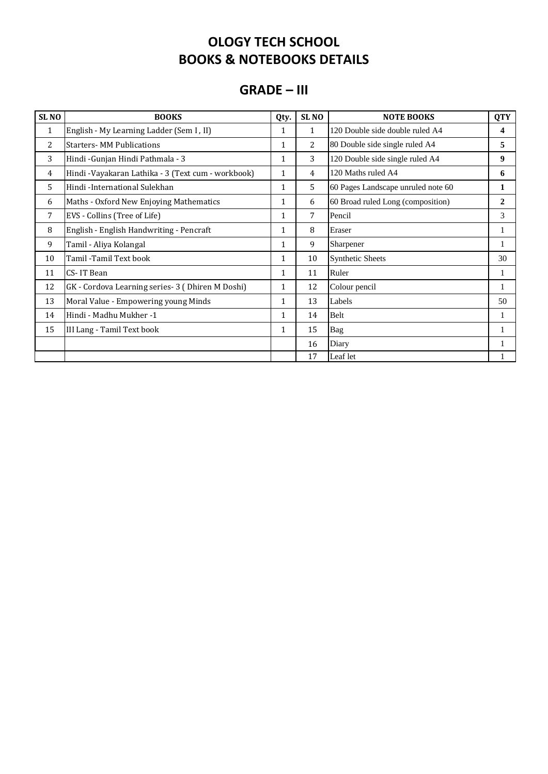#### **GRADE – III**

| SL <sub>NO</sub> | <b>BOOKS</b>                                        | Qty.         | SL <sub>NO</sub> | <b>NOTE BOOKS</b>                  | <b>QTY</b>   |
|------------------|-----------------------------------------------------|--------------|------------------|------------------------------------|--------------|
| $\mathbf{1}$     | English - My Learning Ladder (Sem I, II)            | 1            | 1                | 120 Double side double ruled A4    | 4            |
| 2                | <b>Starters-MM Publications</b>                     | 1            | 2                | 80 Double side single ruled A4     | 5            |
| 3                | Hindi - Gunjan Hindi Pathmala - 3                   | $\mathbf{1}$ | 3                | 120 Double side single ruled A4    | 9            |
| 4                | Hindi - Vayakaran Lathika - 3 (Text cum - workbook) | 1            | 4                | 120 Maths ruled A4                 | 6            |
| 5                | Hindi-International Sulekhan                        | 1            | 5                | 60 Pages Landscape unruled note 60 | 1            |
| 6                | Maths - Oxford New Enjoying Mathematics             | 1            | 6                | 60 Broad ruled Long (composition)  | $\mathbf{2}$ |
| 7                | EVS - Collins (Tree of Life)                        | $\mathbf{1}$ | 7                | Pencil                             | 3            |
| 8                | English - English Handwriting - Pencraft            | $\mathbf{1}$ | 8                | Eraser                             | 1            |
| 9                | Tamil - Aliya Kolangal                              | $\mathbf{1}$ | 9                | Sharpener                          | 1            |
| 10               | Tamil -Tamil Text book                              | $\mathbf{1}$ | 10               | <b>Synthetic Sheets</b>            | 30           |
| 11               | CS-IT Bean                                          | 1            | 11               | Ruler                              | 1            |
| 12               | GK - Cordova Learning series- 3 (Dhiren M Doshi)    | 1            | 12               | Colour pencil                      | 1            |
| 13               | Moral Value - Empowering young Minds                | 1            | 13               | Labels                             | 50           |
| 14               | Hindi - Madhu Mukher -1                             | $\mathbf{1}$ | 14               | Belt                               | 1            |
| 15               | III Lang - Tamil Text book                          | $\mathbf{1}$ | 15               | Bag                                | 1            |
|                  |                                                     |              | 16               | Diary                              | 1            |
|                  |                                                     |              | 17               | Leaf let                           |              |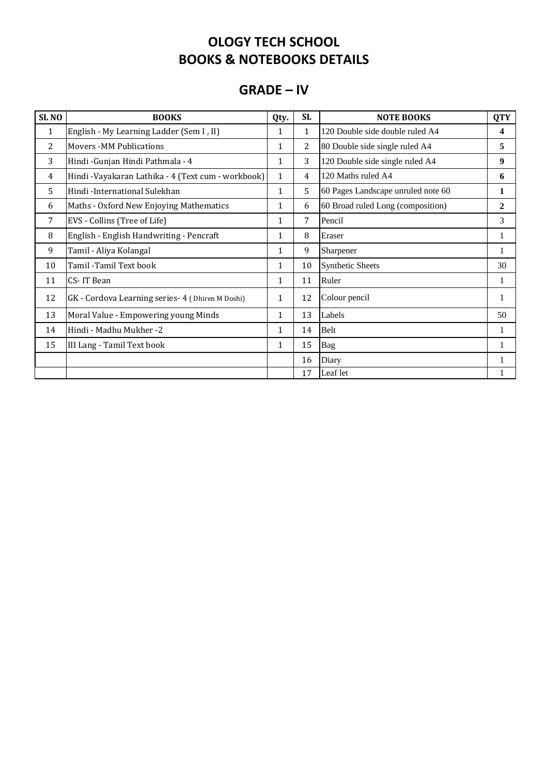#### **GRADE – IV**

| SL <sub>NO</sub> | <b>BOOKS</b>                                       | Qty.         | <b>SL</b>    | <b>NOTE BOOKS</b>                  | <b>QTY</b>       |
|------------------|----------------------------------------------------|--------------|--------------|------------------------------------|------------------|
| $\mathbf{1}$     | English - My Learning Ladder (Sem I, II)           | 1            | $\mathbf{1}$ | 120 Double side double ruled A4    | 4                |
| 2                | <b>Movers -MM Publications</b>                     | 1            | 2            | 80 Double side single ruled A4     | 5                |
| 3                | Hindi - Gunjan Hindi Pathmala - 4                  | 1            | 3            | 120 Double side single ruled A4    | $\boldsymbol{9}$ |
| 4                | Hindi -Vayakaran Lathika - 4 (Text cum - workbook) | $\mathbf{1}$ | 4            | 120 Maths ruled A4                 | 6                |
| 5                | Hindi -International Sulekhan                      | 1            | 5            | 60 Pages Landscape unruled note 60 | 1                |
| 6                | Maths - Oxford New Enjoying Mathematics            | 1            | 6            | 60 Broad ruled Long (composition)  | 2                |
| 7                | EVS - Collins (Tree of Life)                       | 1            | 7            | Pencil                             | 3                |
| 8                | English - English Handwriting - Pencraft           | 1            | 8            | Eraser                             | 1                |
| 9                | Tamil - Aliya Kolangal                             | 1            | 9            | Sharpener                          | 1                |
| 10               | Tamil -Tamil Text book                             | 1            | 10           | <b>Synthetic Sheets</b>            | 30               |
| 11               | CS-IT Bean                                         | 1            | 11           | Ruler                              | 1                |
| 12               | GK - Cordova Learning series- 4 (Dhiren M Doshi)   | 1            | 12           | Colour pencil                      | 1                |
| 13               | Moral Value - Empowering young Minds               | 1            | 13           | Labels                             | 50               |
| 14               | Hindi - Madhu Mukher -2                            | $\mathbf{1}$ | 14           | Belt                               | 1                |
| 15               | III Lang - Tamil Text book                         | 1            | 15           | Bag                                | 1                |
|                  |                                                    |              | 16           | Diary                              | 1                |
|                  |                                                    |              | 17           | Leaf let                           | 1                |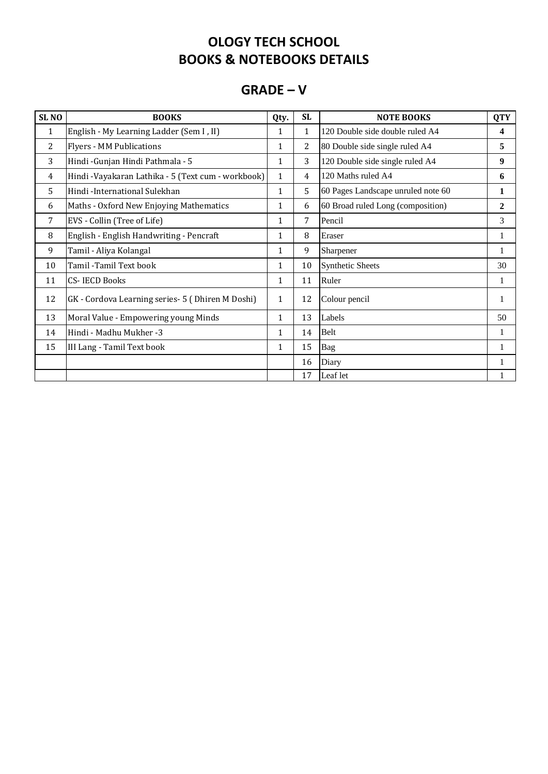#### **GRADE – V**

| SL <sub>NO</sub> | <b>BOOKS</b>                                       | Qty.         | <b>SL</b> | <b>NOTE BOOKS</b>                  | <b>QTY</b>     |
|------------------|----------------------------------------------------|--------------|-----------|------------------------------------|----------------|
| $\mathbf{1}$     | English - My Learning Ladder (Sem I, II)           | 1            | 1         | 120 Double side double ruled A4    | 4              |
| 2                | <b>Flyers - MM Publications</b>                    | 1            | 2         | 80 Double side single ruled A4     | 5              |
| 3                | Hindi - Gunjan Hindi Pathmala - 5                  | 1            | 3         | 120 Double side single ruled A4    | 9              |
| 4                | Hindi -Vayakaran Lathika - 5 (Text cum - workbook) | 1            | 4         | 120 Maths ruled A4                 | 6              |
| 5                | Hindi -International Sulekhan                      | 1            | 5         | 60 Pages Landscape unruled note 60 | 1              |
| 6                | Maths - Oxford New Enjoying Mathematics            | 1            | 6         | 60 Broad ruled Long (composition)  | $\overline{2}$ |
| 7                | EVS - Collin (Tree of Life)                        | 1            | 7         | Pencil                             | 3              |
| 8                | English - English Handwriting - Pencraft           | 1            | 8         | Eraser                             | 1              |
| 9                | Tamil - Aliya Kolangal                             | 1            | 9         | Sharpener                          | 1              |
| 10               | Tamil -Tamil Text book                             | 1            | 10        | <b>Synthetic Sheets</b>            | 30             |
| 11               | CS-IECD Books                                      | 1            | 11        | Ruler                              | 1              |
| 12               | GK - Cordova Learning series- 5 (Dhiren M Doshi)   | $\mathbf{1}$ | 12        | Colour pencil                      | 1              |
| 13               | Moral Value - Empowering young Minds               | $\mathbf{1}$ | 13        | Labels                             | 50             |
| 14               | Hindi - Madhu Mukher -3                            | $\mathbf 1$  | 14        | Belt                               | 1              |
| 15               | III Lang - Tamil Text book                         | $\mathbf 1$  | 15        | Bag                                | 1              |
|                  |                                                    |              | 16        | Diary                              | 1              |
|                  |                                                    |              | 17        | Leaf let                           | 1              |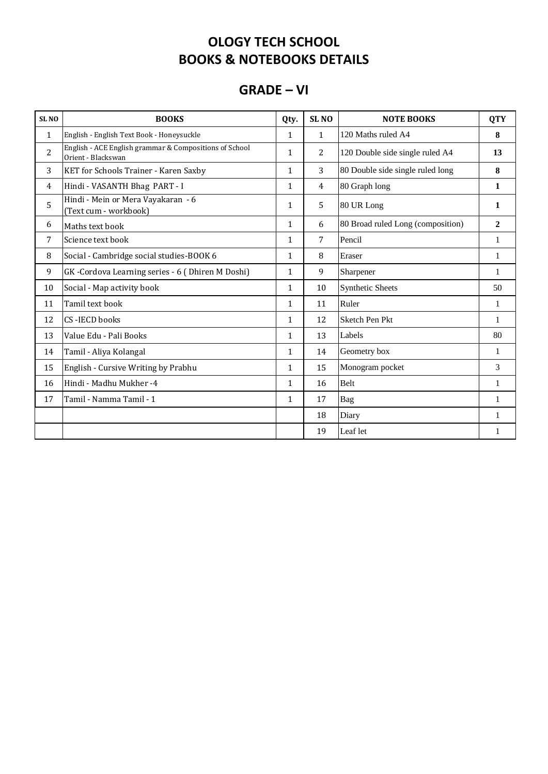### **GRADE – VI**

| SL <sub>NO</sub> | <b>BOOKS</b>                                                                 | Qty.         | SL <sub>NO</sub> | <b>NOTE BOOKS</b>                 | <b>QTY</b>     |
|------------------|------------------------------------------------------------------------------|--------------|------------------|-----------------------------------|----------------|
| $\mathbf{1}$     | English - English Text Book - Honeysuckle                                    | $\mathbf{1}$ | $\mathbf{1}$     | 120 Maths ruled A4                | 8              |
| $\overline{2}$   | English - ACE English grammar & Compositions of School<br>Orient - Blackswan | $\mathbf{1}$ | 2                | 120 Double side single ruled A4   | 13             |
| 3                | KET for Schools Trainer - Karen Saxby                                        | $\mathbf{1}$ | 3                | 80 Double side single ruled long  | 8              |
| 4                | Hindi - VASANTH Bhag PART - I                                                | 1            | $\overline{4}$   | 80 Graph long                     | $\mathbf{1}$   |
| 5                | Hindi - Mein or Mera Vayakaran - 6<br>(Text cum - workbook)                  | $\mathbf{1}$ | 5                | 80 UR Long                        | 1              |
| 6                | Maths text book                                                              | $\mathbf{1}$ | 6                | 80 Broad ruled Long (composition) | $\overline{2}$ |
| 7                | Science text book                                                            | $\mathbf{1}$ | $\overline{7}$   | Pencil                            | $\mathbf{1}$   |
| 8                | Social - Cambridge social studies-BOOK 6                                     | 1            | 8                | Eraser                            | 1              |
| 9                | GK-Cordova Learning series - 6 (Dhiren M Doshi)                              | $\mathbf{1}$ | 9                | Sharpener                         | $\mathbf{1}$   |
| 10               | Social - Map activity book                                                   | 1            | 10               | <b>Synthetic Sheets</b>           | 50             |
| 11               | Tamil text book                                                              | $\mathbf{1}$ | 11               | Ruler                             | $\mathbf{1}$   |
| 12               | CS-IECD books                                                                | $\mathbf{1}$ | 12               | Sketch Pen Pkt                    | 1              |
| 13               | Value Edu - Pali Books                                                       | $\mathbf{1}$ | 13               | Labels                            | 80             |
| 14               | Tamil - Aliya Kolangal                                                       | $\mathbf{1}$ | 14               | Geometry box                      | $\mathbf{1}$   |
| 15               | English - Cursive Writing by Prabhu                                          | 1            | 15               | Monogram pocket                   | 3              |
| 16               | Hindi - Madhu Mukher -4                                                      | $\mathbf{1}$ | 16               | Belt                              | $\mathbf{1}$   |
| 17               | Tamil - Namma Tamil - 1                                                      | $\mathbf{1}$ | 17               | Bag                               | $\mathbf{1}$   |
|                  |                                                                              |              | 18               | Diary                             | 1              |
|                  |                                                                              |              | 19               | Leaf let                          | 1              |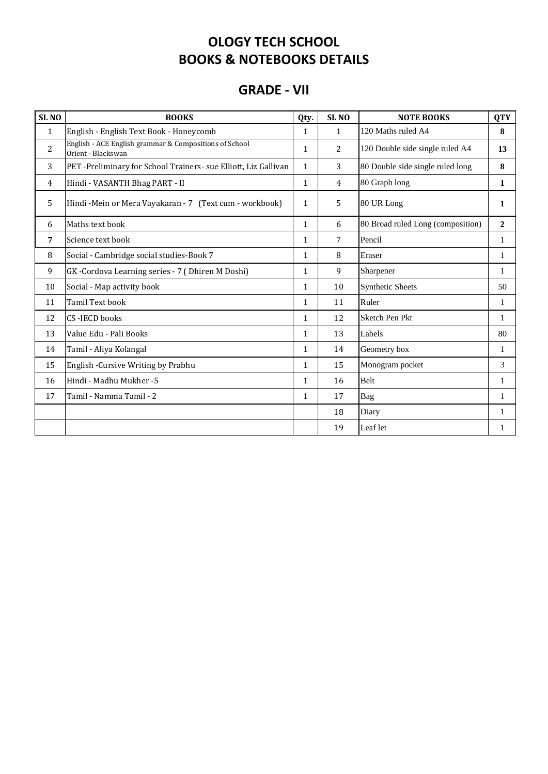#### **GRADE - VII**

| SL <sub>NO</sub> | <b>BOOKS</b>                                                                 | Qty.         | SL <sub>NO</sub> | <b>NOTE BOOKS</b>                 | <b>QTY</b>     |
|------------------|------------------------------------------------------------------------------|--------------|------------------|-----------------------------------|----------------|
| $\mathbf{1}$     | English - English Text Book - Honeycomb                                      | 1            | $\mathbf{1}$     | 120 Maths ruled A4                | 8              |
| $\overline{2}$   | English - ACE English grammar & Compositions of School<br>Orient - Blackswan | $\mathbf{1}$ | 2                | 120 Double side single ruled A4   | 13             |
| 3                | PET -Preliminary for School Trainers- sue Elliott, Liz Gallivan              | $\mathbf{1}$ | 3                | 80 Double side single ruled long  | 8              |
| $\overline{4}$   | Hindi - VASANTH Bhag PART - II                                               | $\mathbf{1}$ | 4                | 80 Graph long                     | 1              |
| 5                | Hindi-Mein or Mera Vayakaran - 7 (Text cum - workbook)                       | 1            | 5                | 80 UR Long                        | 1              |
| 6                | Maths text book                                                              | $\mathbf{1}$ | 6                | 80 Broad ruled Long (composition) | $\overline{2}$ |
| 7                | Science text book                                                            | $\mathbf{1}$ | $\overline{7}$   | Pencil                            | $\mathbf{1}$   |
| 8                | Social - Cambridge social studies-Book 7                                     | $\mathbf{1}$ | 8                | Eraser                            | 1              |
| 9                | GK-Cordova Learning series - 7 (Dhiren M Doshi)                              | $\mathbf{1}$ | 9                | Sharpener                         | 1              |
| 10               | Social - Map activity book                                                   | $\mathbf{1}$ | 10               | <b>Synthetic Sheets</b>           | 50             |
| 11               | Tamil Text book                                                              | $\mathbf{1}$ | 11               | Ruler                             | $\mathbf{1}$   |
| 12               | <b>CS-IECD books</b>                                                         | $\mathbf{1}$ | 12               | Sketch Pen Pkt                    | 1              |
| 13               | Value Edu - Pali Books                                                       | $\mathbf{1}$ | 13               | Labels                            | 80             |
| 14               | Tamil - Aliya Kolangal                                                       | 1            | 14               | Geometry box                      | 1              |
| 15               | English - Cursive Writing by Prabhu                                          | $\mathbf{1}$ | 15               | Monogram pocket                   | 3              |
| 16               | Hindi - Madhu Mukher -5                                                      | $\mathbf{1}$ | 16               | <b>Belt</b>                       | $\mathbf{1}$   |
| 17               | Tamil - Namma Tamil - 2                                                      | $\mathbf{1}$ | 17               | Bag                               | $\mathbf{1}$   |
|                  |                                                                              |              | 18               | Diary                             | 1              |
|                  |                                                                              |              | 19               | Leaf let                          | 1              |